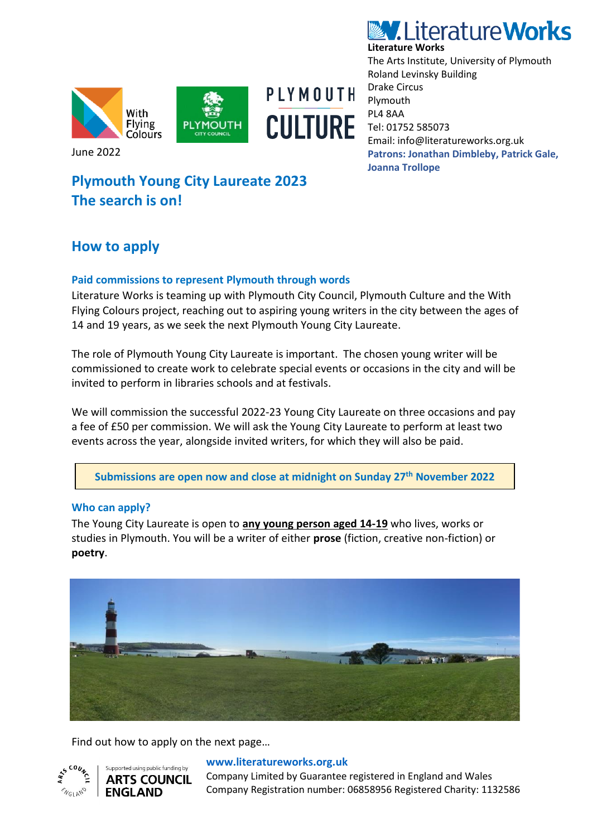





June 2022

# **Plymouth Young City Laureate 2023 The search is on!**

# **How to apply**

## **Paid commissions to represent Plymouth through words**

Literature Works is teaming up with Plymouth City Council, Plymouth Culture and the With Flying Colours project, reaching out to aspiring young writers in the city between the ages of 14 and 19 years, as we seek the next Plymouth Young City Laureate.

The role of Plymouth Young City Laureate is important. The chosen young writer will be commissioned to create work to celebrate special events or occasions in the city and will be invited to perform in libraries schools and at festivals.

We will commission the successful 2022-23 Young City Laureate on three occasions and pay a fee of £50 per commission. We will ask the Young City Laureate to perform at least two events across the year, alongside invited writers, for which they will also be paid.

**Submissions are open now and close at midnight on Sunday 27th November 2022**

### **Who can apply?**

The Young City Laureate is open to **any young person aged 14-19** who lives, works or studies in Plymouth. You will be a writer of either **prose** (fiction, creative non-fiction) or **poetry**.



Find out how to apply on the next page…



#### **[www.literatureworks.org.uk](http://www.literatureworks.org.uk/)**

Company Limited by Guarantee registered in England and Wales Company Registration number: 06858956 Registered Charity: 1132586



The Arts Institute, University of Plymouth Roland Levinsky Building Drake Circus Plymouth PL4 8AA Tel: 01752 585073 Email: info@literatureworks.org.uk **Patrons: Jonathan Dimbleby, Patrick Gale, Joanna Trollope**